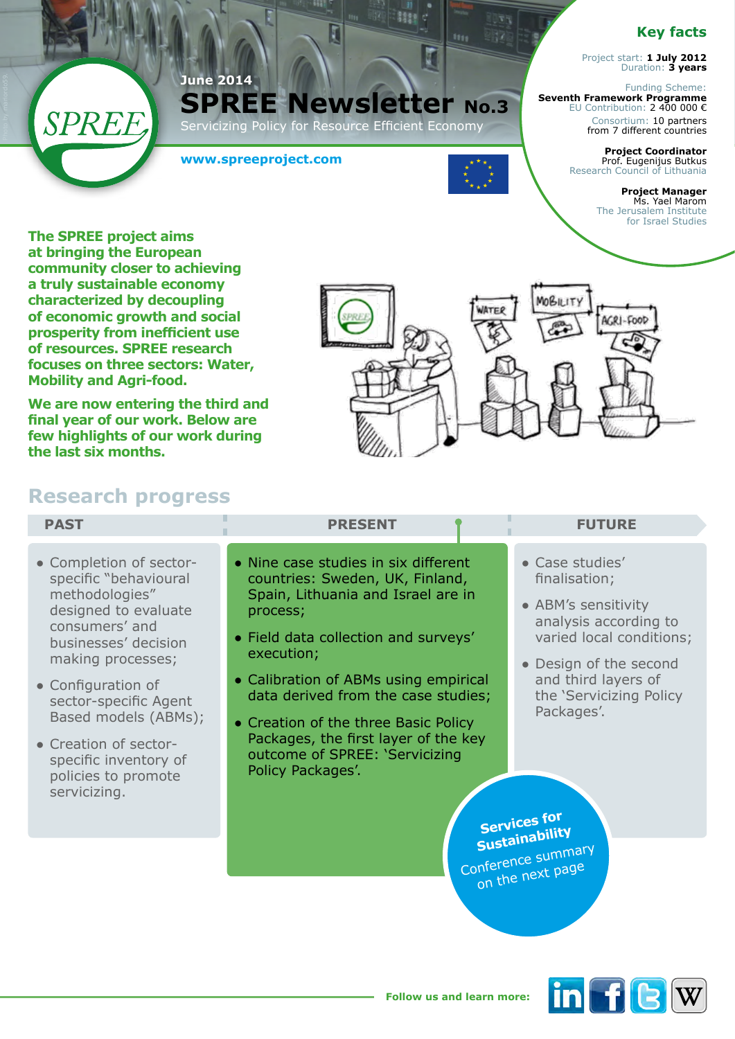## **Key facts**

Project start: **1 July 2012** Duration: **3 years**

Funding Scheme: **Seventh Framework Programme**  EU Contribution: 2 400 000 € Consortium: 10 partners from 7 different countries

> **Project Coordinator**  Prof. Eugenijus Butkus Research Council of Lithuania

> > **Project Manager**  Ms. Yael Marom The Jerusalem Institute for Israel Studies

**The SPREE project aims at bringing the European community closer to achieving a truly sustainable economy characterized by decoupling of economic growth and social prosperity from inefficient use of resources. SPREE research focuses on three sectors: Water, Mobility and Agri-food.** 

SPREE

**We are now entering the third and final year of our work. Below are few highlights of our work during the last six months.**

# $ACR1-FOOL$

 $77$ 

# **Research progress**

| <b>PAST</b>                                                                                                                                                                                                                                                                                                               | <b>PRESENT</b>                                                                                                                                                                                                                                                                                                                                                                                         | <b>FUTURE</b>                                                                                                                                                                                                                                                                             |
|---------------------------------------------------------------------------------------------------------------------------------------------------------------------------------------------------------------------------------------------------------------------------------------------------------------------------|--------------------------------------------------------------------------------------------------------------------------------------------------------------------------------------------------------------------------------------------------------------------------------------------------------------------------------------------------------------------------------------------------------|-------------------------------------------------------------------------------------------------------------------------------------------------------------------------------------------------------------------------------------------------------------------------------------------|
| • Completion of sector-<br>specific "behavioural<br>methodologies"<br>designed to evaluate<br>consumers' and<br>businesses' decision<br>making processes;<br>• Configuration of<br>sector-specific Agent<br>Based models (ABMs);<br>• Creation of sector-<br>specific inventory of<br>policies to promote<br>servicizing. | • Nine case studies in six different<br>countries: Sweden, UK, Finland,<br>Spain, Lithuania and Israel are in<br>process;<br>• Field data collection and surveys'<br>execution;<br>• Calibration of ABMs using empirical<br>data derived from the case studies;<br>• Creation of the three Basic Policy<br>Packages, the first layer of the key<br>outcome of SPREE: 'Servicizing<br>Policy Packages'. | • Case studies'<br>finalisation;<br>• ABM's sensitivity<br>analysis according to<br>varied local conditions;<br>• Design of the second<br>and third layers of<br>the 'Servicizing Policy<br>Packages'.<br><b>Services for</b><br>Sustainability<br>Conference summary<br>on the next page |

**SPREE Newsletter No.3** ervicizing Policy for Resource Efficient Economy

ſ

**SERR** 

**www.spreeproject.com**

**June 2014**

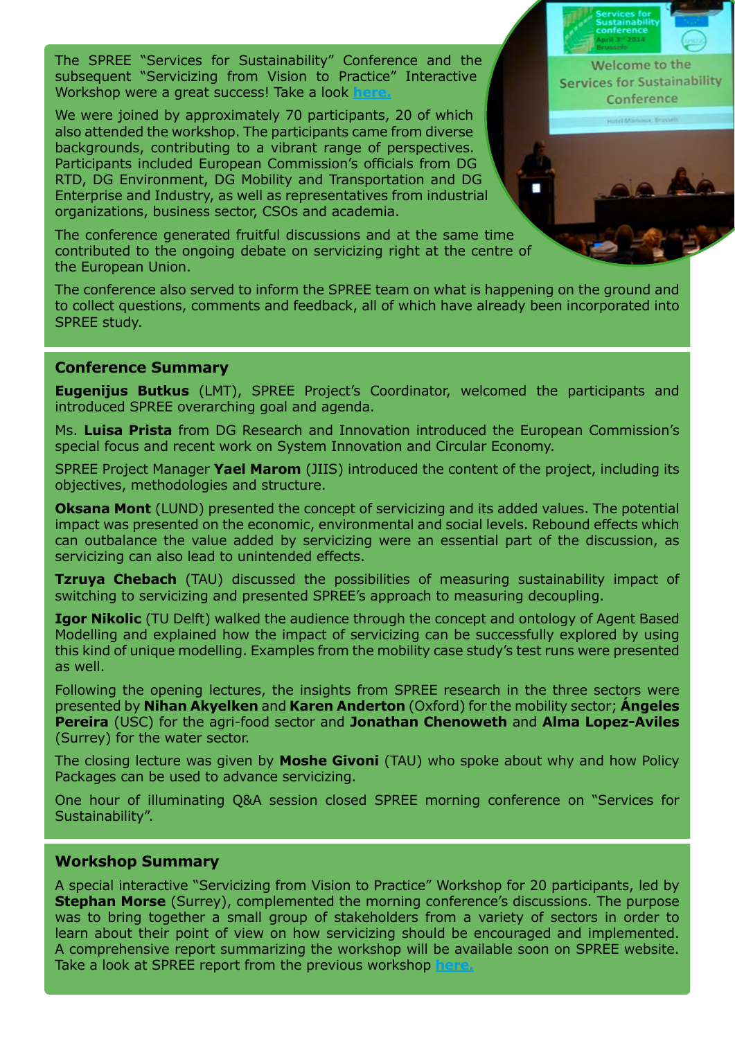The SPREE "Services for Sustainability" Conference and the subsequent "Servicizing from Vision to Practice" Interactive Workshop were a great success! Take a look

We were joined by approximately 70 participants, 20 of which also attended the workshop. The participants came from diverse backgrounds, contributing to a vibrant range of perspectives. Participants included European Commission's officials from DG RTD, DG Environment, DG Mobility and Transportation and DG Enterprise and Industry, as well as representatives from industrial organizations, business sector, CSOs and academia.

The conference generated fruitful discussions and at the same time contributed to the ongoing debate on servicizing right at the centre of the European Union.

The conference also served to inform the SPREE team on what is happening on the ground and to collect questions, comments and feedback, all of which have already been incorporated into SPREE study.

### **Conference Summary**

**Eugenijus Butkus** (LMT), SPREE Project's Coordinator, welcomed the participants and introduced SPREE overarching goal and agenda.

Ms. **Luisa Prista** from DG Research and Innovation introduced the European Commission's special focus and recent work on System Innovation and Circular Economy.

SPREE Project Manager **Yael Marom** (JIIS) introduced the content of the project, including its objectives, methodologies and structure.

**Oksana Mont** (LUND) presented the concept of servicizing and its added values. The potential impact was presented on the economic, environmental and social levels. Rebound effects which can outbalance the value added by servicizing were an essential part of the discussion, as servicizing can also lead to unintended effects.

**Tzruya Chebach** (TAU) discussed the possibilities of measuring sustainability impact of switching to servicizing and presented SPREE's approach to measuring decoupling.

**Igor Nikolic** (TU Delft) walked the audience through the concept and ontology of Agent Based Modelling and explained how the impact of servicizing can be successfully explored by using this kind of unique modelling. Examples from the mobility case study's test runs were presented as well.

Following the opening lectures, the insights from SPREE research in the three sectors were presented by **Nihan Akyelken** and **Karen Anderton** (Oxford) for the mobility sector; **Ángeles Pereira** (USC) for the agri-food sector and **Jonathan Chenoweth** and **Alma Lopez-Aviles** (Surrey) for the water sector.

The closing lecture was given by **Moshe Givoni** (TAU) who spoke about why and how Policy Packages can be used to advance servicizing.

One hour of illuminating Q&A session closed SPREE morning conference on "Services for Sustainability".

### **Workshop Summary**

A special interactive "Servicizing from Vision to Practice" Workshop for 20 participants, led by **Stephan Morse** (Surrey), complemented the morning conference's discussions. The purpose was to bring together a small group of stakeholders from a variety of sectors in order to learn about their point of view on how servicizing should be encouraged and implemented. A comprehensive report summarizing the workshop will be available soon on SPREE website. Take a look at SPREE report from the previous workshop

Welcome to the **Services for Sustainability** Conference